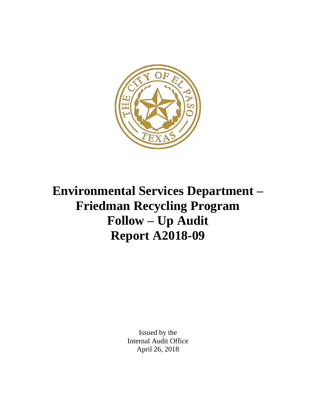

**Environmental Services Department – Friedman Recycling Program Follow – Up Audit Report A2018-09**

> Issued by the Internal Audit Office April 26, 2018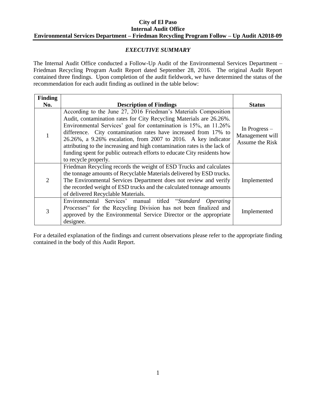### *EXECUTIVE SUMMARY*

The Internal Audit Office conducted a Follow-Up Audit of the Environmental Services Department – Friedman Recycling Program Audit Report dated September 28, 2016. The original Audit Report contained three findings. Upon completion of the audit fieldwork, we have determined the status of the recommendation for each audit finding as outlined in the table below:

| <b>Finding</b> |                                                                                                                                                                                                                                                                                                                                                                                                                                                                                                                                 |                                                     |
|----------------|---------------------------------------------------------------------------------------------------------------------------------------------------------------------------------------------------------------------------------------------------------------------------------------------------------------------------------------------------------------------------------------------------------------------------------------------------------------------------------------------------------------------------------|-----------------------------------------------------|
| No.            | <b>Description of Findings</b>                                                                                                                                                                                                                                                                                                                                                                                                                                                                                                  | <b>Status</b>                                       |
|                | According to the June 27, 2016 Friedman's Materials Composition<br>Audit, contamination rates for City Recycling Materials are 26.26%.<br>Environmental Services' goal for contamination is 15%, an 11.26%<br>difference. City contamination rates have increased from 17% to<br>26.26%, a 9.26% escalation, from 2007 to 2016. A key indicator<br>attributing to the increasing and high contamination rates is the lack of<br>funding spent for public outreach efforts to educate City residents how<br>to recycle properly. | In Progress –<br>Management will<br>Assume the Risk |
| 2              | Friedman Recycling records the weight of ESD Trucks and calculates<br>the tonnage amounts of Recyclable Materials delivered by ESD trucks.<br>The Environmental Services Department does not review and verify<br>the recorded weight of ESD trucks and the calculated tonnage amounts<br>of delivered Recyclable Materials.                                                                                                                                                                                                    | Implemented                                         |
| 3              | Environmental Services' manual titled "Standard Operating<br>Processes" for the Recycling Division has not been finalized and<br>approved by the Environmental Service Director or the appropriate<br>designee.                                                                                                                                                                                                                                                                                                                 | Implemented                                         |

For a detailed explanation of the findings and current observations please refer to the appropriate finding contained in the body of this Audit Report.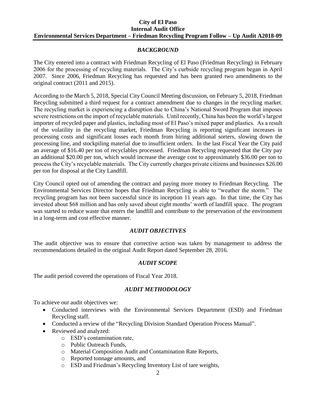### *BACKGROUND*

The City entered into a contract with Friedman Recycling of El Paso (Friedman Recycling) in February 2006 for the processing of recycling materials. The City's curbside recycling program began in April 2007. Since 2006, Friedman Recycling has requested and has been granted two amendments to the original contract (2011 and 2015).

According to the March 5, 2018, Special City Council Meeting discussion, on February 5, 2018, Friedman Recycling submitted a third request for a contract amendment due to changes in the recycling market. The recycling market is experiencing a disruption due to China's National Sword Program that imposes severe restrictions on the import of recyclable materials. Until recently, China has been the world's largest importer of recycled paper and plastics, including most of El Paso's mixed paper and plastics. As a result of the volatility in the recycling market, Friedman Recycling is reporting significant increases in processing costs and significant losses each month from hiring additional sorters, slowing down the processing line, and stockpiling material due to insufficient orders. In the last Fiscal Year the City paid an average of \$16.40 per ton of recyclables processed. Friedman Recycling requested that the City pay an additional \$20.00 per ton, which would increase the average cost to approximately \$36.00 per ton to process the City's recyclable materials. The City currently charges private citizens and businesses \$26.00 per ton for disposal at the City Landfill.

City Council opted out of amending the contract and paying more money to Friedman Recycling. The Environmental Services Director hopes that Friedman Recycling is able to "weather the storm." The recycling program has not been successful since its inception 11 years ago. In that time, the City has invested about \$68 million and has only saved about eight months' worth of landfill space. The program was started to reduce waste that enters the landfill and contribute to the preservation of the environment in a long-term and cost effective manner.

## *AUDIT OBJECTIVES*

The audit objective was to ensure that corrective action was taken by management to address the recommendations detailed in the original Audit Report dated September 28, 2016.

## *AUDIT SCOPE*

The audit period covered the operations of Fiscal Year 2018.

## *AUDIT METHODOLOGY*

To achieve our audit objectives we:

- Conducted interviews with the Environmental Services Department (ESD) and Friedman Recycling staff.
- Conducted a review of the "Recycling Division Standard Operation Process Manual".
- Reviewed and analyzed:
	- o ESD's contamination rate,
	- o Public Outreach Funds,
	- o Material Composition Audit and Contamination Rate Reports,
	- o Reported tonnage amounts, and
	- o ESD and Friedman's Recycling Inventory List of tare weights,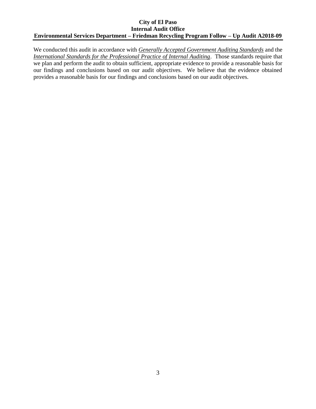We conducted this audit in accordance with *Generally Accepted Government Auditing Standards* and the *International Standards for the Professional Practice of Internal Auditing*. Those standards require that we plan and perform the audit to obtain sufficient, appropriate evidence to provide a reasonable basis for our findings and conclusions based on our audit objectives. We believe that the evidence obtained provides a reasonable basis for our findings and conclusions based on our audit objectives.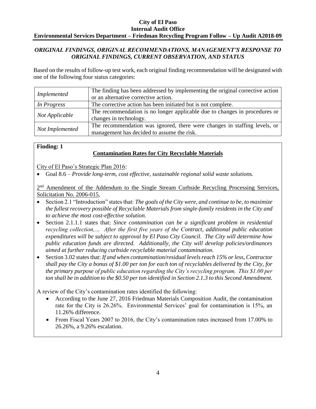## *ORIGINAL FINDINGS, ORIGINAL RECOMMENDATIONS, MANAGEMENT'S RESPONSE TO ORIGINAL FINDINGS, CURRENT OBSERVATION, AND STATUS*

Based on the results of follow-up test work, each original finding recommendation will be designated with one of the following four status categories:

|                 | The finding has been addressed by implementing the original corrective action |  |  |  |
|-----------------|-------------------------------------------------------------------------------|--|--|--|
| Implemented     | or an alternative corrective action.                                          |  |  |  |
| In Progress     | The corrective action has been initiated but is not complete.                 |  |  |  |
|                 | The recommendation is no longer applicable due to changes in procedures or    |  |  |  |
| Not Applicable  | changes in technology.                                                        |  |  |  |
| Not Implemented | The recommendation was ignored, there were changes in staffing levels, or     |  |  |  |
|                 | management has decided to assume the risk.                                    |  |  |  |

## **Finding: 1**

## **Contamination Rates for City Recyclable Materials**

City of El Paso's Strategic Plan 2016:

Goal 8.6 – *Provide long-term, cost effective, sustainable regional solid waste solutions.*

2<sup>nd</sup> Amendment of the Addendum to the Single Stream Curbside Recycling Processing Services, Solicitation No. 2006-015,

- Section 2.1 "Introduction" states that: *The goals of the City were, and continue to be, to maximize the fullest recovery possible of Recyclable Materials from single-family residents in the City and to achieve the most cost-effective solution.*
- Section 2.1.1.1 states that: *Since contamination can be a significant problem in residential recycling collection,… After the first five years of the Contract, additional public education expenditures will be subject to approval by El Paso City Council. The City will determine how public education funds are directed. Additionally, the City will develop policies/ordinances aimed at further reducing curbside recyclable material contamination.*
- Section 3.02 states that: *If and when contamination/residual levels reach 15% or less, Contractor shall pay the City a bonus of \$1.00 per ton for each ton of recyclables delivered by the City, for the primary purpose of public education regarding the City's recycling program. This \$1.00 per ton shall be in addition to the \$0.50 per ton identified in Section 2.1.3 to this Second Amendment.*

A review of the City's contamination rates identified the following:

- According to the June 27, 2016 Friedman Materials Composition Audit, the contamination rate for the City is 26.26%. Environmental Services' goal for contamination is 15%, an 11.26% difference.
- From Fiscal Years 2007 to 2016, the City's contamination rates increased from 17.00% to 26.26%, a 9.26% escalation.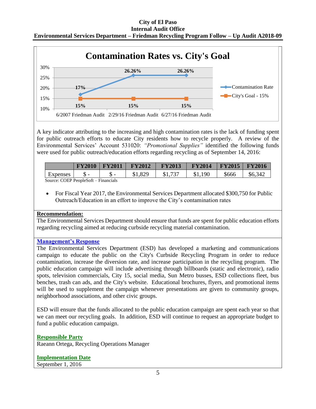# **City of El Paso**

| <b>Internal Audit Office</b>                                                              |
|-------------------------------------------------------------------------------------------|
| Environmental Services Department – Friedman Recycling Program Follow – Up Audit A2018-09 |



A key indicator attributing to the increasing and high contamination rates is the lack of funding spent for public outreach efforts to educate City residents how to recycle properly. A review of the Environmental Services' Account 531020: *"Promotional Supplies"* identified the following funds were used for public outreach/education efforts regarding recycling as of September 14, 2016:

|          | <b>FY2010</b> | $\mid$ FY2011 $\mid$ FY2012 | <b>FY2013</b> | <b>FY2014</b> | $ $ FY2015 $ $ FY2016 |         |
|----------|---------------|-----------------------------|---------------|---------------|-----------------------|---------|
| Expenses |               | \$1,829                     | \$1,737       | \$1,190       | \$666                 | \$6,342 |
|          |               |                             |               |               |                       |         |

Source: COEP PeopleSoft – Financials

 For Fiscal Year 2017, the Environmental Services Department allocated \$300,750 for Public Outreach/Education in an effort to improve the City's contamination rates

## **Recommendation:**

The Environmental Services Department should ensure that funds are spent for public education efforts regarding recycling aimed at reducing curbside recycling material contamination.

## **Management's Response**

The Environmental Services Department (ESD) has developed a marketing and communications campaign to educate the public on the City's Curbside Recycling Program in order to reduce contamination, increase the diversion rate, and increase participation in the recycling program. The public education campaign will include advertising through billboards (static and electronic), radio spots, television commercials, City 15, social media, Sun Metro busses, ESD collections fleet, bus benches, trash can ads, and the City's website. Educational brochures, flyers, and promotional items will be used to supplement the campaign whenever presentations are given to community groups, neighborhood associations, and other civic groups.

ESD will ensure that the funds allocated to the public education campaign are spent each year so that we can meet our recycling goals. In addition, ESD will continue to request an appropriate budget to fund a public education campaign.

**Responsible Party** Raeann Ortega, Recycling Operations Manager

## **Implementation Date**

September 1, 2016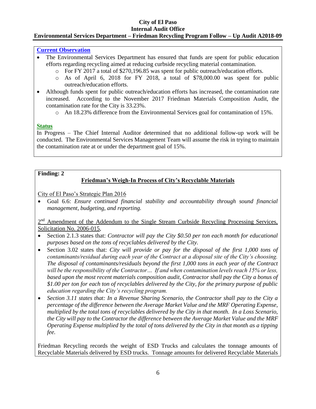#### **City of El Paso Internal Audit Office**

## **Environmental Services Department – Friedman Recycling Program Follow – Up Audit A2018-09**

#### **Current Observation**

- The Environmental Services Department has ensured that funds are spent for public education efforts regarding recycling aimed at reducing curbside recycling material contamination.
	- o For FY 2017 a total of \$270,196.85 was spent for public outreach/education efforts.
	- o As of April 6, 2018 for FY 2018, a total of \$78,000.00 was spent for public outreach/education efforts.
- Although funds spent for public outreach/education efforts has increased, the contamination rate increased. According to the November 2017 Friedman Materials Composition Audit, the contamination rate for the City is 33.23%.
	- o An 18.23% difference from the Environmental Services goal for contamination of 15%.

#### **Status**

In Progress – The Chief Internal Auditor determined that no additional follow-up work will be conducted. The Environmental Services Management Team will assume the risk in trying to maintain the contamination rate at or under the department goal of 15%.

#### **Finding: 2**

## **Friedman's Weigh-In Process of City's Recyclable Materials**

City of El Paso's Strategic Plan 2016

 Goal 6.6: *Ensure continued financial stability and accountability through sound financial management, budgeting, and reporting.*

2<sup>nd</sup> Amendment of the Addendum to the Single Stream Curbside Recycling Processing Services, Solicitation No. 2006-015,

- Section 2.1.3 states that: *Contractor will pay the City \$0.50 per ton each month for educational purposes based on the tons of recyclables delivered by the City.*
- Section 3.02 states that: *City will provide or pay for the disposal of the first 1,000 tons of contaminants/residual during each year of the Contract at a disposal site of the City's choosing. The disposal of contaminants/residuals beyond the first 1,000 tons in each year of the Contract will be the responsibility of the Contractor… If and when contamination levels reach 15% or less,*  based upon the most recent materials composition audit, Contractor shall pay the City a bonus of *\$1.00 per ton for each ton of recyclables delivered by the City, for the primary purpose of public education regarding the City's recycling program.*
- *Section 3.11 states that: In a Revenue Sharing Scenario, the Contractor shall pay to the City a percentage of the difference between the Average Market Value and the MRF Operating Expense, multiplied by the total tons of recyclables delivered by the City in that month. In a Loss Scenario, the City will pay to the Contractor the difference between the Average Market Value and the MRF Operating Expense multiplied by the total of tons delivered by the City in that month as a tipping fee.*

Friedman Recycling records the weight of ESD Trucks and calculates the tonnage amounts of Recyclable Materials delivered by ESD trucks. Tonnage amounts for delivered Recyclable Materials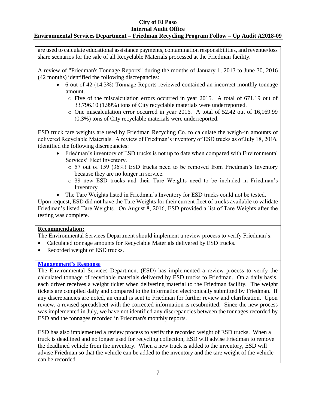## **City of El Paso**

#### **Internal Audit Office Environmental Services Department – Friedman Recycling Program Follow – Up Audit A2018-09**

are used to calculate educational assistance payments, contamination responsibilities, and revenue/loss share scenarios for the sale of all Recyclable Materials processed at the Friedman facility.

A review of "Friedman's Tonnage Reports" during the months of January 1, 2013 to June 30, 2016 (42 months) identified the following discrepancies:

- 6 out of 42 (14.3%) Tonnage Reports reviewed contained an incorrect monthly tonnage amount.
	- o Five of the miscalculation errors occurred in year 2015. A total of 671.19 out of 33,796.10 (1.99%) tons of City recyclable materials were underreported.
	- o One miscalculation error occurred in year 2016. A total of 52.42 out of 16,169.99 (0.3%) tons of City recyclable materials were underreported.

ESD truck tare weights are used by Friedman Recycling Co. to calculate the weigh-in amounts of delivered Recyclable Materials. A review of Friedman's inventory of ESD trucks as of July 18, 2016, identified the following discrepancies:

- Friedman's inventory of ESD trucks is not up to date when compared with Environmental Services' Fleet Inventory.
	- o 57 out of 159 (36%) ESD trucks need to be removed from Friedman's Inventory because they are no longer in service.
	- o 39 new ESD trucks and their Tare Weights need to be included in Friedman's Inventory.
- The Tare Weights listed in Friedman's Inventory for ESD trucks could not be tested.

Upon request, ESD did not have the Tare Weights for their current fleet of trucks available to validate Friedman's listed Tare Weights. On August 8, 2016, ESD provided a list of Tare Weights after the testing was complete.

## **Recommendation:**

The Environmental Services Department should implement a review process to verify Friedman's:

- Calculated tonnage amounts for Recyclable Materials delivered by ESD trucks.
- Recorded weight of ESD trucks.

## **Management's Response**

The Environmental Services Department (ESD) has implemented a review process to verify the calculated tonnage of recyclable materials delivered by ESD trucks to Friedman. On a daily basis, each driver receives a weight ticket when delivering material to the Friedman facility. The weight tickets are compiled daily and compared to the information electronically submitted by Friedman. If any discrepancies are noted, an email is sent to Friedman for further review and clarification. Upon review, a revised spreadsheet with the corrected information is resubmitted. Since the new process was implemented in July, we have not identified any discrepancies between the tonnages recorded by ESD and the tonnages recorded in Friedman's monthly reports.

ESD has also implemented a review process to verify the recorded weight of ESD trucks. When a truck is deadlined and no longer used for recycling collection, ESD will advise Friedman to remove the deadlined vehicle from the inventory. When a new truck is added to the inventory, ESD will advise Friedman so that the vehicle can be added to the inventory and the tare weight of the vehicle can be recorded.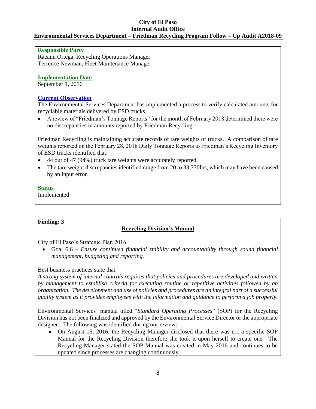#### **City of El Paso Internal Audit Office**

## **Environmental Services Department – Friedman Recycling Program Follow – Up Audit A2018-09**

### **Responsible Party**

Raeann Ortega, Recycling Operations Manager Terrence Newman, Fleet Maintenance Manager

#### **Implementation Date**

September 1, 2016

## **Current Observation**

The Environmental Services Department has implemented a process to verify calculated amounts for recyclable materials delivered by ESD trucks.

 A review of "Friedman's Tonnage Reports" for the month of February 2018 determined there were no discrepancies in amounts reported by Friedman Recycling.

Friedman Recycling is maintaining accurate records of tare weights of trucks. A comparison of tare weights reported on the February 28, 2018 Daily Tonnage Reports to Friedman's Recycling Inventory of ESD trucks identified that:

- 44 out of 47 (94%) truck tare weights were accurately reported.
- The tare weight discrepancies identified range from 20 to 33,770lbs, which may have been caused by an input error.

#### **Status**

Implemented

## **Finding: 3**

## **Recycling Division's Manual**

City of El Paso's Strategic Plan 2016:

 Goal 6.6 – *Ensure continued financial stability and accountability through sound financial management, budgeting and reporting.*

## Best business practices state that:

*A strong system of internal controls requires that policies and procedures are developed and written by management to establish criteria for executing routine or repetitive activities followed by an organization. The development and use of policies and procedures are an integral part of a successful quality system as it provides employees with the information and guidance to perform a job properly.*

Environmental Services' manual titled "*Standard Operating Processes*" (SOP) for the Recycling Division has not been finalized and approved by the Environmental Service Director or the appropriate designee. The following was identified during our review:

 On August 15, 2016, the Recycling Manager disclosed that there was not a specific SOP Manual for the Recycling Division therefore she took it upon herself to create one. The Recycling Manager stated the SOP Manual was created in May 2016 and continues to be updated since processes are changing continuously.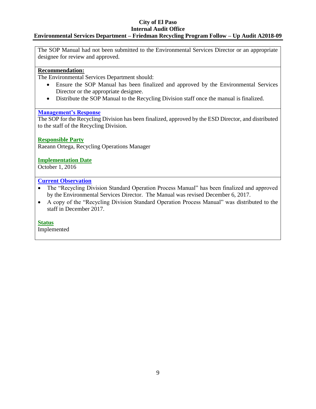#### **City of El Paso Internal Audit Office**

## **Environmental Services Department – Friedman Recycling Program Follow – Up Audit A2018-09**

The SOP Manual had not been submitted to the Environmental Services Director or an appropriate designee for review and approved.

## **Recommendation:**

The Environmental Services Department should:

- Ensure the SOP Manual has been finalized and approved by the Environmental Services Director or the appropriate designee.
- Distribute the SOP Manual to the Recycling Division staff once the manual is finalized.

## **Management's Response**

The SOP for the Recycling Division has been finalized, approved by the ESD Director, and distributed to the staff of the Recycling Division.

## **Responsible Party**

Raeann Ortega, Recycling Operations Manager

## **Implementation Date**

October 1, 2016

## **Current Observation**

- The "Recycling Division Standard Operation Process Manual" has been finalized and approved by the Environmental Services Director. The Manual was revised December 6, 2017.
- A copy of the "Recycling Division Standard Operation Process Manual" was distributed to the staff in December 2017.

## **Status**

Implemented